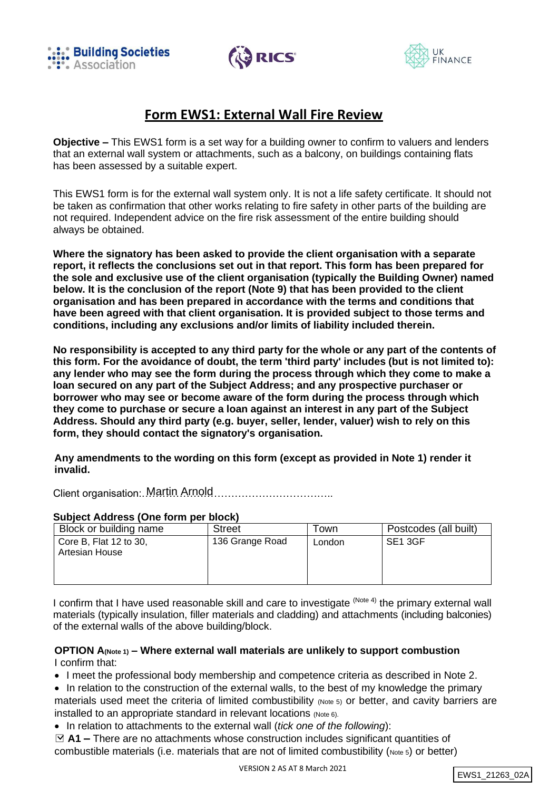





# **Form EWS1: External Wall Fire Review**

**Objective –** This EWS1 form is a set way for a building owner to confirm to valuers and lenders that an external wall system or attachments, such as a balcony, on buildings containing flats has been assessed by a suitable expert.

This EWS1 form is for the external wall system only. It is not a life safety certificate. It should not be taken as confirmation that other works relating to fire safety in other parts of the building are not required. Independent advice on the fire risk assessment of the entire building should always be obtained.

**Where the signatory has been asked to provide the client organisation with a separate report, it reflects the conclusions set out in that report. This form has been prepared for the sole and exclusive use of the client organisation (typically the Building Owner) named below. It is the conclusion of the report (Note 9) that has been provided to the client organisation and has been prepared in accordance with the terms and conditions that have been agreed with that client organisation. It is provided subject to those terms and conditions, including any exclusions and/or limits of liability included therein.**

**No responsibility is accepted to any third party for the whole or any part of the contents of this form. For the avoidance of doubt, the term 'third party' includes (but is not limited to): any lender who may see the form during the process through which they come to make a loan secured on any part of the Subject Address; and any prospective purchaser or borrower who may see or become aware of the form during the process through which they come to purchase or secure a loan against an interest in any part of the Subject Address. Should any third party (e.g. buyer, seller, lender, valuer) wish to rely on this form, they should contact the signatory's organisation.**

**Any amendments to the wording on this form (except as provided in Note 1) render it invalid.**

Client organisation:……………………………………………….. Martin Arnold

#### **Subject Address (One form per block)**

| Block or building name                   | <b>Street</b>   | Town   | Postcodes (all built) |
|------------------------------------------|-----------------|--------|-----------------------|
| Core B, Flat 12 to 30,<br>Artesian House | 136 Grange Road | London | SE1 3GF               |

I confirm that I have used reasonable skill and care to investigate <sup>(Note 4)</sup> the primary external wall materials (typically insulation, filler materials and cladding) and attachments (including balconies) of the external walls of the above building/block.

### **OPTION A(Note 1) – Where external wall materials are unlikely to support combustion** I confirm that:

• I meet the professional body membership and competence criteria as described in Note 2.

- In relation to the construction of the external walls, to the best of my knowledge the primary materials used meet the criteria of limited combustibility (Note 5) or better, and cavity barriers are installed to an appropriate standard in relevant locations (Note 6).
- In relation to attachments to the external wall (*tick one of the following*):

□ **A1 –** There are no attachments whose construction includes significant quantities of combustible materials (i.e. materials that are not of limited combustibility (Note 5) or better)

```
EWS1_21263_02A
```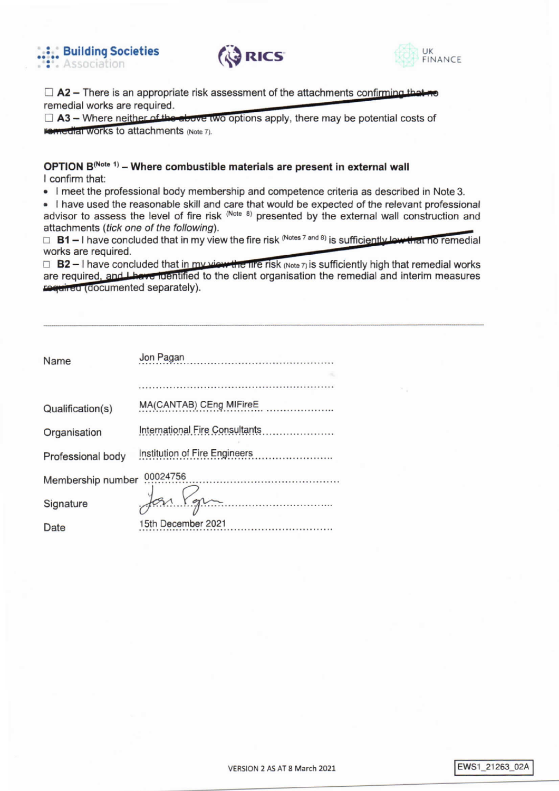





 $\Box$  A2 – There is an appropriate risk assessment of the attachments confirming that no remedial works are required.

 $\Box$  A3 – Where neither of the above two options apply, there may be potential costs of remedial Works to attachments (Note 7).

### OPTION B(Note 1) - Where combustible materials are present in external wall I confirm that:

• I meet the professional body membership and competence criteria as described in Note 3.

. I have used the reasonable skill and care that would be expected of the relevant professional advisor to assess the level of fire risk (Note 8) presented by the external wall construction and attachments (tick one of the following).

 $\Box$  B1 – I have concluded that in my view the fire risk (Notes 7 and 8) is sufficiently low that no remedial works are required.

 $\Box$  B2 – I have concluded that in my view the fire risk (Note 7) is sufficiently high that remedial works are required, and these identified to the client organisation the remedial and interim measures reguled (documented separately).

| Name              | Jon Pagan                             |
|-------------------|---------------------------------------|
|                   |                                       |
|                   |                                       |
| Qualification(s)  | MA(CANTAB) CEng MIFireE<br>. <b>.</b> |
| Organisation      | International Fire Consultants        |
| Professional body |                                       |
| Membership number | 00024756                              |
| Signature         |                                       |
| Date              | 15th December 2021                    |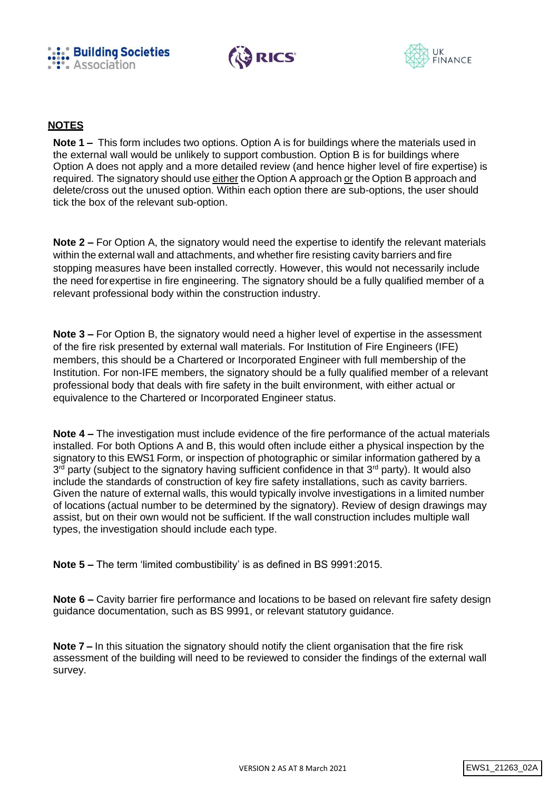





## **NOTES**

**Note 1 –** This form includes two options. Option A is for buildings where the materials used in the external wall would be unlikely to support combustion. Option B is for buildings where Option A does not apply and a more detailed review (and hence higher level of fire expertise) is required. The signatory should use either the Option A approach or the Option B approach and delete/cross out the unused option. Within each option there are sub-options, the user should tick the box of the relevant sub-option.

**Note 2 –** For Option A, the signatory would need the expertise to identify the relevant materials within the external wall and attachments, and whether fire resisting cavity barriers and fire stopping measures have been installed correctly. However, this would not necessarily include the need forexpertise in fire engineering. The signatory should be a fully qualified member of a relevant professional body within the construction industry.

**Note 3 –** For Option B, the signatory would need a higher level of expertise in the assessment of the fire risk presented by external wall materials. For Institution of Fire Engineers (IFE) members, this should be a Chartered or Incorporated Engineer with full membership of the Institution. For non-IFE members, the signatory should be a fully qualified member of a relevant professional body that deals with fire safety in the built environment, with either actual or equivalence to the Chartered or Incorporated Engineer status.

**Note 4 –** The investigation must include evidence of the fire performance of the actual materials installed. For both Options A and B, this would often include either a physical inspection by the signatory to this EWS1 Form, or inspection of photographic or similar information gathered by a 3<sup>rd</sup> party (subject to the signatory having sufficient confidence in that 3<sup>rd</sup> party). It would also include the standards of construction of key fire safety installations, such as cavity barriers. Given the nature of external walls, this would typically involve investigations in a limited number of locations (actual number to be determined by the signatory). Review of design drawings may assist, but on their own would not be sufficient. If the wall construction includes multiple wall types, the investigation should include each type.

**Note 5 –** The term 'limited combustibility' is as defined in BS 9991:2015.

**Note 6 –** Cavity barrier fire performance and locations to be based on relevant fire safety design guidance documentation, such as BS 9991, or relevant statutory guidance.

**Note 7 –** In this situation the signatory should notify the client organisation that the fire risk assessment of the building will need to be reviewed to consider the findings of the external wall survey.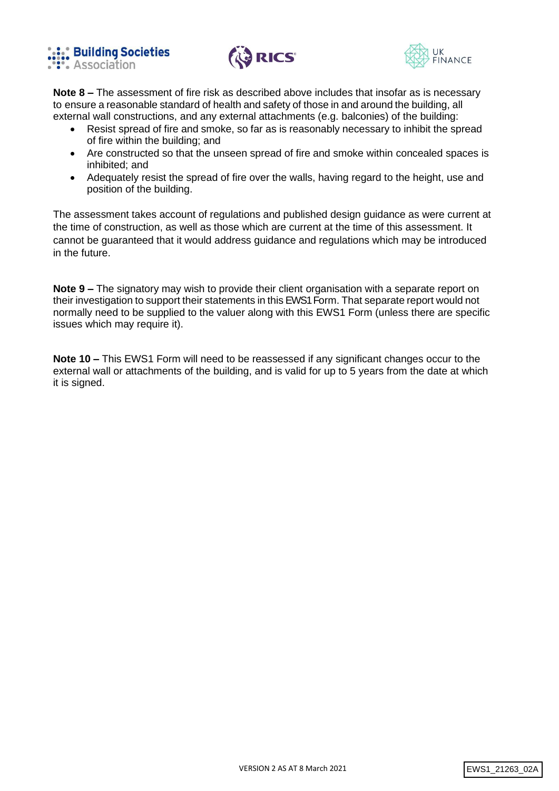





**Note 8 –** The assessment of fire risk as described above includes that insofar as is necessary to ensure a reasonable standard of health and safety of those in and around the building, all external wall constructions, and any external attachments (e.g. balconies) of the building:

- Resist spread of fire and smoke, so far as is reasonably necessary to inhibit the spread of fire within the building; and
- Are constructed so that the unseen spread of fire and smoke within concealed spaces is inhibited; and
- Adequately resist the spread of fire over the walls, having regard to the height, use and position of the building.

The assessment takes account of regulations and published design guidance as were current at the time of construction, as well as those which are current at the time of this assessment. It cannot be guaranteed that it would address guidance and regulations which may be introduced in the future.

**Note 9 –** The signatory may wish to provide their client organisation with a separate report on their investigation to support their statements in this EWS1 Form. That separate report would not normally need to be supplied to the valuer along with this EWS1 Form (unless there are specific issues which may require it).

**Note 10 –** This EWS1 Form will need to be reassessed if any significant changes occur to the external wall or attachments of the building, and is valid for up to 5 years from the date at which it is signed.